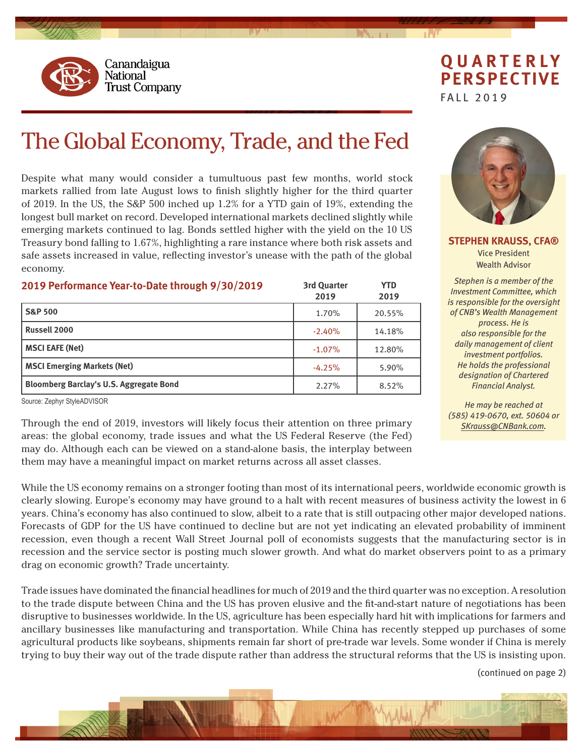

## **QUARTERLY PERSPECTIVE**

FALL 2019

# The Global Economy, Trade, and the Fed

Despite what many would consider a tumultuous past few months, world stock markets rallied from late August lows to finish slightly higher for the third quarter of 2019. In the US, the S&P 500 inched up 1.2% for a YTD gain of 19%, extending the longest bull market on record. Developed international markets declined slightly while emerging markets continued to lag. Bonds settled higher with the yield on the 10 US Treasury bond falling to 1.67%, highlighting a rare instance where both risk assets and safe assets increased in value, reflecting investor's unease with the path of the global economy.

| 2019 Performance Year-to-Date through 9/30/2019 | <b>3rd Quarter</b><br>2019 | <b>YTD</b><br>2019 |
|-------------------------------------------------|----------------------------|--------------------|
| <b>S&amp;P 500</b>                              | 1.70%                      | 20.55%             |
| <b>Russell 2000</b>                             | $-2.40%$                   | 14.18%             |
| <b>MSCI EAFE (Net)</b>                          | $-1.07%$                   | 12.80%             |
| <b>MSCI Emerging Markets (Net)</b>              | $-4.25%$                   | 5.90%              |
| <b>Bloomberg Barclay's U.S. Aggregate Bond</b>  | 2.27%                      | 8.52%              |

Source: Zephyr StyleADVISOR

drag on economic growth? Trade uncertainty.

Through the end of 2019, investors will likely focus their attention on three primary areas: the global economy, trade issues and what the US Federal Reserve (the Fed) may do. Although each can be viewed on a stand-alone basis, the interplay between them may have a meaningful impact on market returns across all asset classes.

**STEPHEN KRAUSS, CFA®** Vice President Wealth Advisor

*Stephen is a member of the Investment Committee, which is responsible for the oversight of CNB's Wealth Management process. He is also responsible for the daily management of client investment portfolios. He holds the professional designation of Chartered Financial Analyst.*

*He may be reached at (585) 419-0670, ext. 50604 or SK[rauss@CNBank.com.](mailto:skrauss%40cnbank.com?subject=)*

(continued on page 2)



While the US economy remains on a stronger footing than most of its international peers, worldwide economic growth is clearly slowing. Europe's economy may have ground to a halt with recent measures of business activity the lowest in 6 years. China's economy has also continued to slow, albeit to a rate that is still outpacing other major developed nations. Forecasts of GDP for the US have continued to decline but are not yet indicating an elevated probability of imminent recession, even though a recent Wall Street Journal poll of economists suggests that the manufacturing sector is in recession and the service sector is posting much slower growth. And what do market observers point to as a primary

Trade issues have dominated the financial headlines for much of 2019 and the third quarter was no exception. A resolution to the trade dispute between China and the US has proven elusive and the fit-and-start nature of negotiations has been disruptive to businesses worldwide. In the US, agriculture has been especially hard hit with implications for farmers and ancillary businesses like manufacturing and transportation. While China has recently stepped up purchases of some agricultural products like soybeans, shipments remain far short of pre-trade war levels. Some wonder if China is merely trying to buy their way out of the trade dispute rather than address the structural reforms that the US is insisting upon.